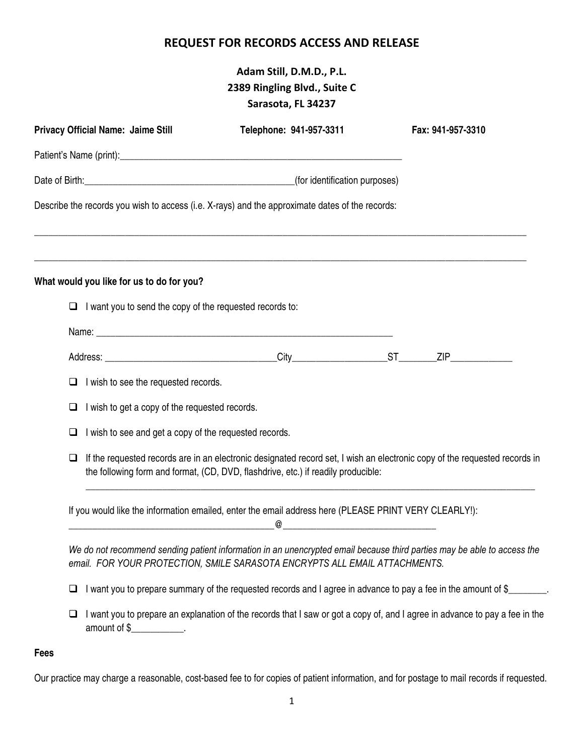## **REQUEST FOR RECORDS ACCESS AND RELEASE**

# **Adam Still, D.M.D., P.L. 2389 Ringling Blvd., Suite C Sarasota, FL 34237**

| <b>Privacy Official Name: Jaime Still</b>                                                                                                                                                                                     | Telephone: 941-957-3311                                                                                                                                                                                         | Fax: 941-957-3310 |
|-------------------------------------------------------------------------------------------------------------------------------------------------------------------------------------------------------------------------------|-----------------------------------------------------------------------------------------------------------------------------------------------------------------------------------------------------------------|-------------------|
|                                                                                                                                                                                                                               |                                                                                                                                                                                                                 |                   |
| Date of Birth: (a) and the set of Birth (a) and the set of Birth (a) and the set of Birth (a) and the set of Birth (a) and the set of the set of the set of the set of the set of the set of the set of the set of the set of |                                                                                                                                                                                                                 |                   |
| Describe the records you wish to access (i.e. X-rays) and the approximate dates of the records:                                                                                                                               |                                                                                                                                                                                                                 |                   |
| What would you like for us to do for you?                                                                                                                                                                                     |                                                                                                                                                                                                                 |                   |
| $\Box$ I want you to send the copy of the requested records to:                                                                                                                                                               |                                                                                                                                                                                                                 |                   |
|                                                                                                                                                                                                                               |                                                                                                                                                                                                                 |                   |
|                                                                                                                                                                                                                               |                                                                                                                                                                                                                 |                   |
| I wish to see the requested records.<br>u                                                                                                                                                                                     |                                                                                                                                                                                                                 |                   |
| I wish to get a copy of the requested records.<br>❏                                                                                                                                                                           |                                                                                                                                                                                                                 |                   |
| I wish to see and get a copy of the requested records.<br>⊔                                                                                                                                                                   |                                                                                                                                                                                                                 |                   |
| ❏                                                                                                                                                                                                                             | If the requested records are in an electronic designated record set, I wish an electronic copy of the requested records in<br>the following form and format, (CD, DVD, flashdrive, etc.) if readily producible: |                   |
|                                                                                                                                                                                                                               | If you would like the information emailed, enter the email address here (PLEASE PRINT VERY CLEARLY!):<br>@                                                                                                      |                   |
|                                                                                                                                                                                                                               | We do not recommend sending patient information in an unencrypted email because third parties may be able to access the<br>email. FOR YOUR PROTECTION, SMILE SARASOTA ENCRYPTS ALL EMAIL ATTACHMENTS.           |                   |
| ⊔                                                                                                                                                                                                                             | I want you to prepare summary of the requested records and I agree in advance to pay a fee in the amount of \$                                                                                                  |                   |
| ⊔<br>amount of \$                                                                                                                                                                                                             | I want you to prepare an explanation of the records that I saw or got a copy of, and I agree in advance to pay a fee in the                                                                                     |                   |

#### **Fees**

Our practice may charge a reasonable, cost-based fee to for copies of patient information, and for postage to mail records if requested.